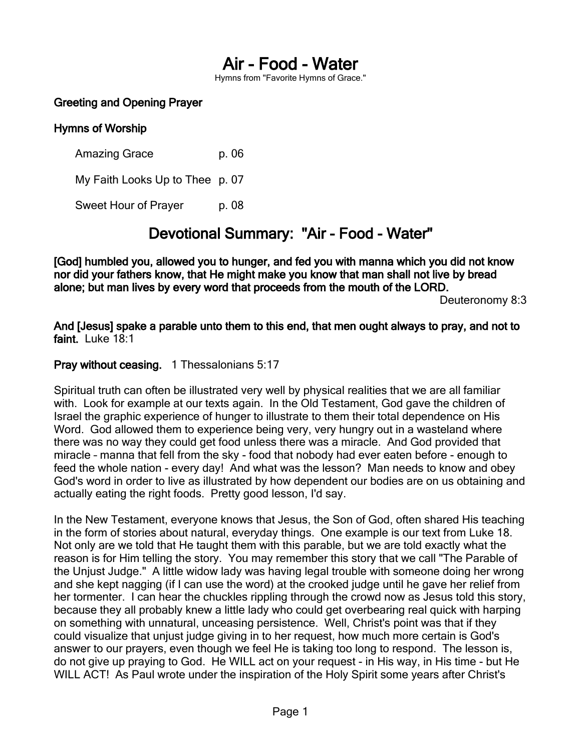# Air - Food - Water

Hymns from "Favorite Hymns of Grace."

#### Greeting and Opening Prayer

#### Hymns of Worship

Amazing Grace b. 06 My Faith Looks Up to Thee p. 07 Sweet Hour of Prayer p. 08

## Devotional Summary: "Air - Food - Water"

[God] humbled you, allowed you to hunger, and fed you with manna which you did not know nor did your fathers know, that He might make you know that man shall not live by bread alone; but man lives by every word that proceeds from the mouth of the LORD.

Deuteronomy 8:3

And [Jesus] spake a parable unto them to this end, that men ought always to pray, and not to faint. Luke 18:1

#### Pray without ceasing. 1 Thessalonians 5:17

Spiritual truth can often be illustrated very well by physical realities that we are all familiar with. Look for example at our texts again. In the Old Testament, God gave the children of Israel the graphic experience of hunger to illustrate to them their total dependence on His Word. God allowed them to experience being very, very hungry out in a wasteland where there was no way they could get food unless there was a miracle. And God provided that miracle – manna that fell from the sky - food that nobody had ever eaten before - enough to feed the whole nation - every day! And what was the lesson? Man needs to know and obey God's word in order to live as illustrated by how dependent our bodies are on us obtaining and actually eating the right foods. Pretty good lesson, I'd say.

In the New Testament, everyone knows that Jesus, the Son of God, often shared His teaching in the form of stories about natural, everyday things. One example is our text from Luke 18. Not only are we told that He taught them with this parable, but we are told exactly what the reason is for Him telling the story. You may remember this story that we call "The Parable of the Unjust Judge." A little widow lady was having legal trouble with someone doing her wrong and she kept nagging (if I can use the word) at the crooked judge until he gave her relief from her tormenter. I can hear the chuckles rippling through the crowd now as Jesus told this story, because they all probably knew a little lady who could get overbearing real quick with harping on something with unnatural, unceasing persistence. Well, Christ's point was that if they could visualize that unjust judge giving in to her request, how much more certain is God's answer to our prayers, even though we feel He is taking too long to respond. The lesson is, do not give up praying to God. He WILL act on your request - in His way, in His time - but He WILL ACT! As Paul wrote under the inspiration of the Holy Spirit some years after Christ's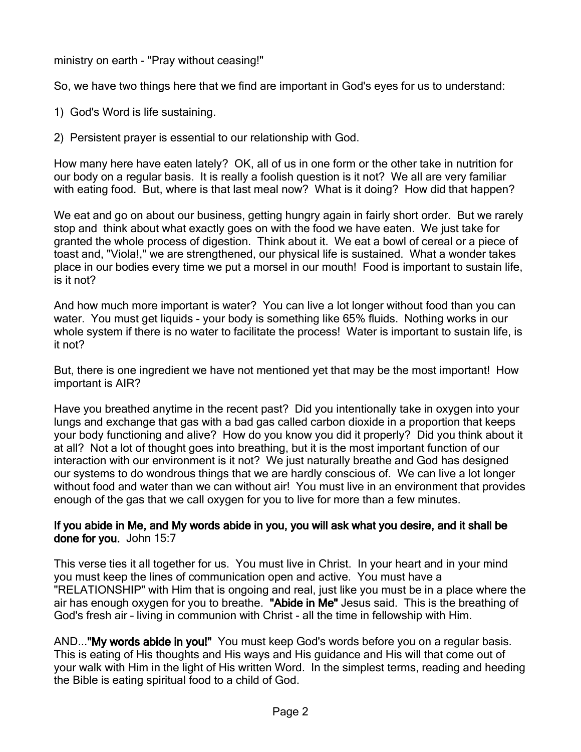ministry on earth - "Pray without ceasing!"

So, we have two things here that we find are important in God's eyes for us to understand:

- 1) God's Word is life sustaining.
- 2) Persistent prayer is essential to our relationship with God.

How many here have eaten lately? OK, all of us in one form or the other take in nutrition for our body on a regular basis. It is really a foolish question is it not? We all are very familiar with eating food. But, where is that last meal now? What is it doing? How did that happen?

We eat and go on about our business, getting hungry again in fairly short order. But we rarely stop and think about what exactly goes on with the food we have eaten. We just take for granted the whole process of digestion. Think about it. We eat a bowl of cereal or a piece of toast and, "Viola!," we are strengthened, our physical life is sustained. What a wonder takes place in our bodies every time we put a morsel in our mouth! Food is important to sustain life, is it not?

And how much more important is water? You can live a lot longer without food than you can water. You must get liquids - your body is something like 65% fluids. Nothing works in our whole system if there is no water to facilitate the process! Water is important to sustain life, is it not?

But, there is one ingredient we have not mentioned yet that may be the most important! How important is AIR?

Have you breathed anytime in the recent past? Did you intentionally take in oxygen into your lungs and exchange that gas with a bad gas called carbon dioxide in a proportion that keeps your body functioning and alive? How do you know you did it properly? Did you think about it at all? Not a lot of thought goes into breathing, but it is the most important function of our interaction with our environment is it not? We just naturally breathe and God has designed our systems to do wondrous things that we are hardly conscious of. We can live a lot longer without food and water than we can without air! You must live in an environment that provides enough of the gas that we call oxygen for you to live for more than a few minutes.

### If you abide in Me, and My words abide in you, you will ask what you desire, and it shall be done for you. John 15:7

This verse ties it all together for us. You must live in Christ. In your heart and in your mind you must keep the lines of communication open and active. You must have a "RELATIONSHIP" with Him that is ongoing and real, just like you must be in a place where the air has enough oxygen for you to breathe. "Abide in Me" Jesus said. This is the breathing of God's fresh air – living in communion with Christ - all the time in fellowship with Him.

AND..."My words abide in you!" You must keep God's words before you on a regular basis. This is eating of His thoughts and His ways and His guidance and His will that come out of your walk with Him in the light of His written Word. In the simplest terms, reading and heeding the Bible is eating spiritual food to a child of God.